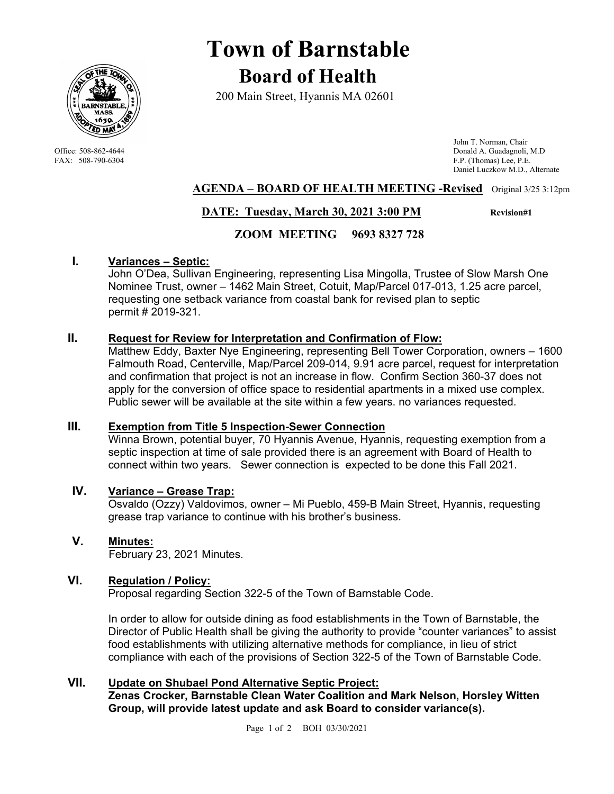

# **Town of Barnstable Board of Health**

200 Main Street, Hyannis MA 02601

 John T. Norman, Chair Office: 508-862-4644 Donald A. Guadagnoli, M.D FAX: 508-790-6304 F.P. (Thomas) Lee, P.E. Daniel Luczkow M.D., Alternate

# **AGENDA – BOARD OF HEALTH MEETING -Revised** Original 3/25 3:12pm

# **DATE: Tuesday, March 30, 2021 3:00 PM Revision#1**

# **ZOOM MEETING 9693 8327 728**

## **I. Variances – Septic:**

John O'Dea, Sullivan Engineering, representing Lisa Mingolla, Trustee of Slow Marsh One Nominee Trust, owner – 1462 Main Street, Cotuit, Map/Parcel 017-013, 1.25 acre parcel, requesting one setback variance from coastal bank for revised plan to septic permit # 2019-321.

## **II. Request for Review for Interpretation and Confirmation of Flow:**

Matthew Eddy, Baxter Nye Engineering, representing Bell Tower Corporation, owners – 1600 Falmouth Road, Centerville, Map/Parcel 209-014, 9.91 acre parcel, request for interpretation and confirmation that project is not an increase in flow. Confirm Section 360-37 does not apply for the conversion of office space to residential apartments in a mixed use complex. Public sewer will be available at the site within a few years. no variances requested.

#### **III. Exemption from Title 5 Inspection-Sewer Connection**

Winna Brown, potential buyer, 70 Hyannis Avenue, Hyannis, requesting exemption from a septic inspection at time of sale provided there is an agreement with Board of Health to connect within two years. Sewer connection is expected to be done this Fall 2021.

## **IV. Variance – Grease Trap:**

Osvaldo (Ozzy) Valdovimos, owner – Mi Pueblo, 459-B Main Street, Hyannis, requesting grease trap variance to continue with his brother's business.

**V. Minutes:**  February 23, 2021 Minutes.

# **VI. Regulation / Policy:**

Proposal regarding Section 322-5 of the Town of Barnstable Code.

In order to allow for outside dining as food establishments in the Town of Barnstable, the Director of Public Health shall be giving the authority to provide "counter variances" to assist food establishments with utilizing alternative methods for compliance, in lieu of strict compliance with each of the provisions of Section 322-5 of the Town of Barnstable Code.

# **VII. Update on Shubael Pond Alternative Septic Project:**

**Zenas Crocker, Barnstable Clean Water Coalition and Mark Nelson, Horsley Witten Group, will provide latest update and ask Board to consider variance(s).**